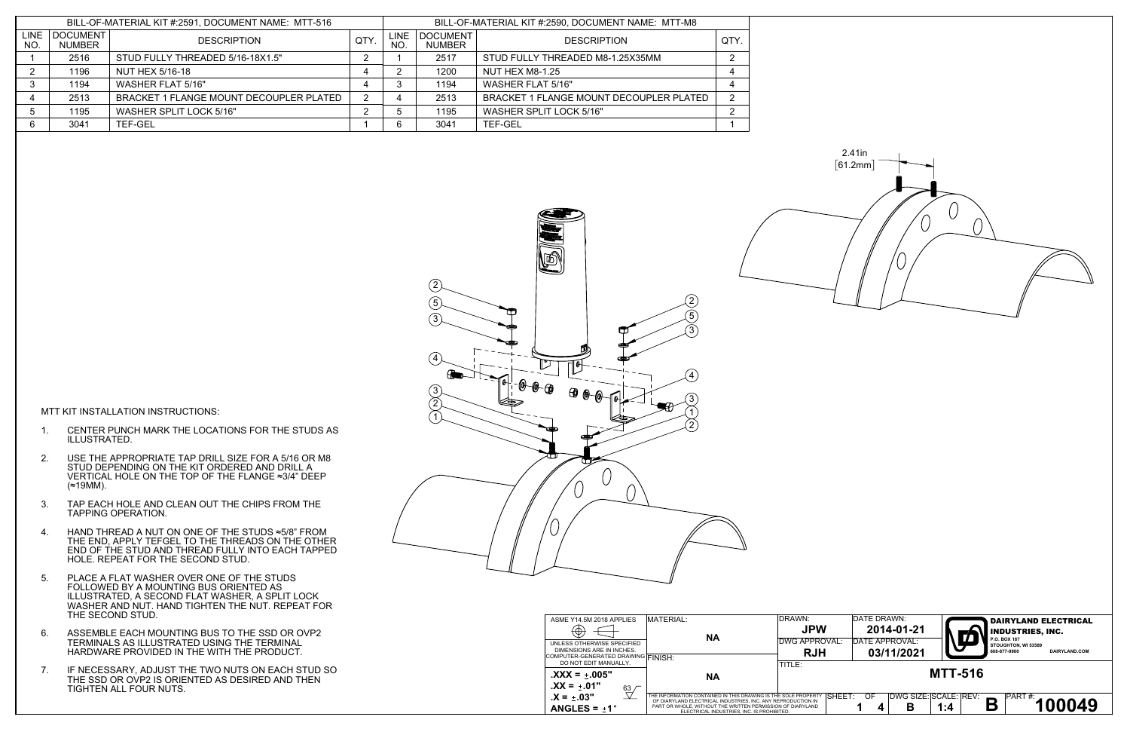2.41in  $[61.2mm]$ 



MTT KIT INSTALLATION INSTRUCTIONS:

- 1. CENTER PUNCH MARK THE LOCATIONS FOR THE STUDS AS ILLUSTRATED.
- 2. USE THE APPROPRIATE TAP DRILL SIZE FOR A 5/16 OR M8 STUD DEPENDING ON THE KIT ORDERED AND DRILL A VERTICAL HOLE ON THE TOP OF THE FLANGE ≈3/4" DEEP (≈19MM).
- 3. TAP EACH HOLE AND CLEAN OUT THE CHIPS FROM THE TAPPING OPERATION.
- 4. HAND THREAD A NUT ON ONE OF THE STUDS ≈5/8" FROM THE END, APPLY TEFGEL TO THE THREADS ON THE OTHER END OF THE STUD AND THREAD FULLY INTO EACH TAPPED HOLE. REPEAT FOR THE SECOND STUD.
- 5. PLACE A FLAT WASHER OVER ONE OF THE STUDS FOLLOWED BY A MOUNTING BUS ORIENTED AS ILLUSTRATED, A SECOND FLAT WASHER, A SPLIT LOCK WASHER AND NUT. HAND TIGHTEN THE NUT. REPEAT FOR THE SECOND STUD.
- 6. ASSEMBLE EACH MOUNTING BUS TO THE SSD OR OVP2 TERMINALS AS ILLUSTRATED USING THE TERMINAL HARDWARE PROVIDED IN THE WITH THE PRODUCT.
- 7. IF NECESSARY, ADJUST THE TWO NUTS ON EACH STUD SO THE SSD OR OVP2 IS ORIENTED AS DESIRED AND THEN TIGHTEN ALL FOUR NUTS.

| DRAWN:<br><b>JPW</b><br>DWG APPROVAL:<br><b>RJH</b><br>TITLE:   | DATE DRAWN:<br>DATE APPROVAL: | 2014-01-21<br>03/11/2021 |                                                     | <b>DAIRYLAND ELECTRICAL</b><br><b>INDUSTRIES, INC.</b><br>P.O. BOX 187<br>STOUGHTON, WI 53589<br>608-877-9900<br>DAIRYLAND.COM |
|-----------------------------------------------------------------|-------------------------------|--------------------------|-----------------------------------------------------|--------------------------------------------------------------------------------------------------------------------------------|
| SOLE PROPERTY SHEET:<br>PRODUCTION IN<br>N OF DIARYLAND<br>TED. | OF<br>1<br>4                  | B                        | <b>MTT-516</b><br>DWG SIZE: SCALE: REV:<br>Β<br>1:4 | PART#:<br>100049                                                                                                               |

| ASME Y14.5M 2018 APPLIES                                    | MATERIAL:                                                                                                                      | DRAWN:     |
|-------------------------------------------------------------|--------------------------------------------------------------------------------------------------------------------------------|------------|
|                                                             | <b>NA</b>                                                                                                                      | <b>JPW</b> |
| UNLESS OTHERWISE SPECIFIED                                  |                                                                                                                                | DWG APPROV |
| DIMENSIONS ARE IN INCHES.                                   |                                                                                                                                | <b>RJH</b> |
| COMPUTER-GENERATED DRAWING FINISH:<br>DO NOT EDIT MANUALLY. |                                                                                                                                | TITLE:     |
| $\mathbf{XXX} = \pm 005"$                                   | NΑ                                                                                                                             |            |
| $.XX = +.01"$<br>63                                         |                                                                                                                                |            |
| $.X = +.03"$                                                | THE INFORMATION CONTAINED IN THIS DRAWING IS THE SOLE PROPERTY<br>OF DIARYLAND ELECTRICAL INDUSTRIES. INC. ANY REPRODUCTION IN | S          |
| ANGLES = $+1^{\circ}$                                       | PART OR WHOLE, WITHOUT THE WRITTEN PERMISSION OF DIARYLAND<br>ELECTRICAL INDUSTRIES. INC. IS PROHIBITED.                       |            |

| BILL-OF-MATERIAL KIT #:2591, DOCUMENT NAME: MTT-516 |                           |                                         | BILL-OF-MATERIAL KIT #:2590, DOCUMENT NAME: MTT-M8 |             |                                  |                                         |   |
|-----------------------------------------------------|---------------------------|-----------------------------------------|----------------------------------------------------|-------------|----------------------------------|-----------------------------------------|---|
| <b>LINE</b><br><b>NO</b>                            | DOCUMENT<br><b>NUMBER</b> | <b>DESCRIPTION</b>                      |                                                    | LINE<br>NO. | <b>DOCUMENT</b><br><b>NUMBER</b> | <b>DESCRIPTION</b>                      |   |
|                                                     | 2516                      | STUD FULLY THREADED 5/16-18X1.5"        |                                                    |             | 2517                             | STUD FULLY THREADED M8-1.25X35MM        |   |
|                                                     | 1196                      | NUT HEX 5/16-18                         |                                                    |             | 1200                             | NUT HEX M8-1.25                         |   |
|                                                     | 1194                      | WASHER FLAT 5/16"                       |                                                    |             | 1194                             | WASHER FLAT 5/16"                       |   |
|                                                     | 2513                      | BRACKET 1 FLANGE MOUNT DECOUPLER PLATED |                                                    |             | 2513                             | BRACKET 1 FLANGE MOUNT DECOUPLER PLATED | ົ |
|                                                     | 1195                      | <b>WASHER SPLIT LOCK 5/16"</b>          |                                                    |             | 1195                             | <b>WASHER SPLIT LOCK 5/16"</b>          | റ |
| 6                                                   | 3041                      | <b>TEF-GEL</b>                          |                                                    |             | 3041                             | <b>TEF-GEL</b>                          |   |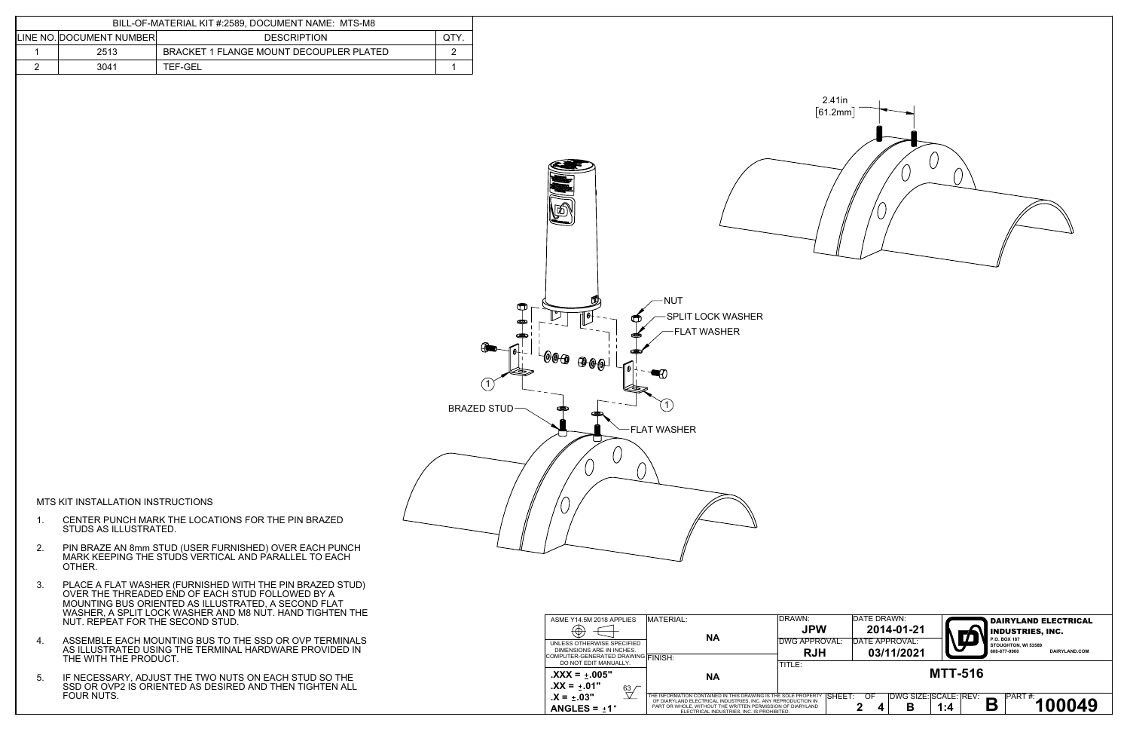



MTS KIT INSTALLATION INSTRUCTIONS

- 1. CENTER PUNCH MARK THE LOCATIONS FOR THE PIN BRAZED STUDS AS ILLUSTRATED.
- 2. PIN BRAZE AN 8mm STUD (USER FURNISHED) OVER EACH PUNCH MARK KEEPING THE STUDS VERTICAL AND PARALLEL TO EACH OTHER.
- 3. PLACE A FLAT WASHER (FURNISHED WITH THE PIN BRAZED STUD) OVER THE THREADED END OF EACH STUD FOLLOWED BY A MOUNTING BUS ORIENTED AS ILLUSTRATED, A SECOND FLAT WASHER, A SPLIT LOCK WASHER AND M8 NUT. HAND TIGHTEN THE NUT. REPEAT FOR THE SECOND STUD.
- 4. ASSEMBLE EACH MOUNTING BUS TO THE SSD OR OVP TERMINALS AS ILLUSTRATED USING THE TERMINAL HARDWARE PROVIDED IN THE WITH THE PRODUCT.
- 5. IF NECESSARY, ADJUST THE TWO NUTS ON EACH STUD SO THE SSD OR OVP2 IS ORIENTED AS DESIRED AND THEN TIGHTEN ALL FOUR NUTS.

| ASME Y14.5M 2018 APPLIES                                      | MATERIAL:                                                                                                                                                                                                                                 | <b>DRAWN:</b>  | DATE DRAWN:                      | <b>DAIRYLAND ELECTRICAL</b>                       |
|---------------------------------------------------------------|-------------------------------------------------------------------------------------------------------------------------------------------------------------------------------------------------------------------------------------------|----------------|----------------------------------|---------------------------------------------------|
| $\left( \Phi \right)$                                         |                                                                                                                                                                                                                                           | <b>JPW</b>     | 2014-01-21                       | <b>INDUSTRIES, INC.</b>                           |
| UNLESS OTHERWISE SPECIFIED                                    | <b>NA</b>                                                                                                                                                                                                                                 | IDWG APPROVAL: | DATE APPROVAL:                   | M<br>P.O. BOX 187<br>STOUGHTON, WI 53589          |
| DIMENSIONS ARE IN INCHES.                                     |                                                                                                                                                                                                                                           | <b>RJH</b>     | 03/11/2021                       | 608-877-9900<br>DAIRYLAND.COM                     |
| COMPUTER-GENERATED DRAWING FINISH:<br>DO NOT EDIT MANUALLY.   |                                                                                                                                                                                                                                           | TITLE:         |                                  |                                                   |
| $\text{.XXX} = \pm .005$ "<br>$\mathbf{XX} = +.01"$           | <b>NA</b>                                                                                                                                                                                                                                 |                |                                  | <b>MTT-516</b>                                    |
| $\frac{63}{2}$<br>$.X = \pm .03"$<br>ANGLES = $\pm 1^{\circ}$ | THE INFORMATION CONTAINED IN THIS DRAWING IS THE SOLE PROPERT<br>OF DIARYLAND ELECTRICAL INDUSTRIES. INC. ANY REPRODUCTION IN<br>PART OR WHOLE, WITHOUT THE WRITTEN PERMISSION OF DIARYLAND<br>ELECTRICAL INDUSTRIES. INC. IS PROHIBITED. | ISHEET:        | DWG SIZE: SCALE: REV:<br>OF<br>В | $\approx$ $\sqrt{\frac{PART H}{T}}$ 100049<br>1:4 |

| BILL-OF-MATERIAL KIT #:2589, DOCUMENT NAME: MTS-M8 |                          |                                         |  |  |  |  |
|----------------------------------------------------|--------------------------|-----------------------------------------|--|--|--|--|
|                                                    | LINE NO. DOCUMENT NUMBER | <b>DESCRIPTION</b>                      |  |  |  |  |
|                                                    | 2513                     | BRACKET 1 FLANGE MOUNT DECOUPLER PLATED |  |  |  |  |
|                                                    | 3041                     | TEF-GEL                                 |  |  |  |  |

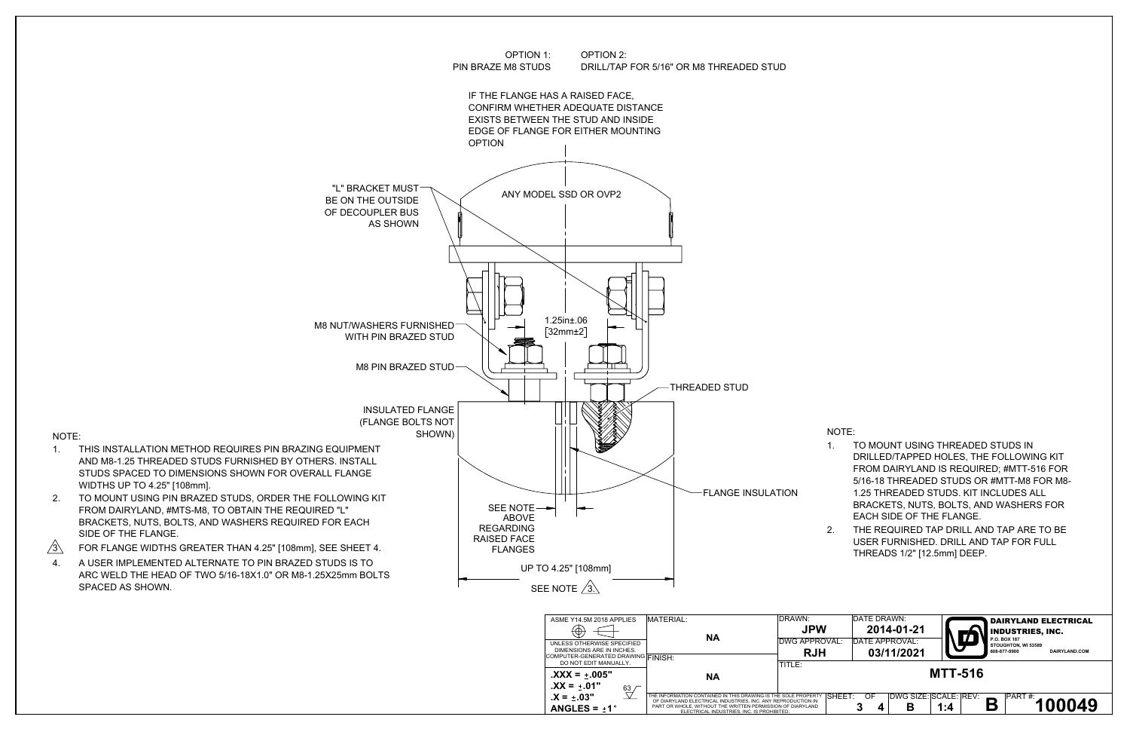## NOTE:

- 1. TO MOUNT USING THREADED STUDS IN DRILLED/TAPPED HOLES, THE FOLLOWING KIT FROM DAIRYLAND IS REQUIRED; #MTT-516 FOR 5/16-18 THREADED STUDS OR #MTT-M8 FOR M8- 1.25 THREADED STUDS. KIT INCLUDES ALL BRACKETS, NUTS, BOLTS, AND WASHERS FOR EACH SIDE OF THE FLANGE.
- 2. THE REQUIRED TAP DRILL AND TAP ARE TO BE USER FURNISHED. DRILL AND TAP FOR FULL THREADS 1/2" [12.5mm] DEEP.

| VAL:   | DATE DRAWN:<br>DATE APPROVAL: | 2014-01-21                 |                | <b>INDUSTRIES, INC.</b><br>P.O. BOX 187 | <b>DAIRYLAND ELECTRICAL</b> |  |
|--------|-------------------------------|----------------------------|----------------|-----------------------------------------|-----------------------------|--|
|        |                               | 03/11/2021                 |                | STOUGHTON, WI 53589<br>608-877-9900     | DAIRYLAND.COM               |  |
|        |                               |                            | <b>MTT-516</b> |                                         |                             |  |
| SHEET: | OF                            | DWG SIZE: SCALE: REV:<br>В | 1:4            | PART#:                                  | 100049                      |  |